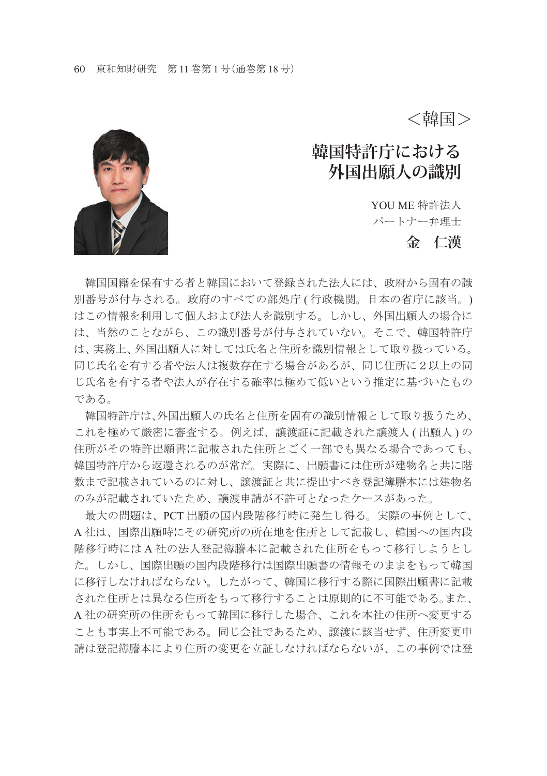<韓国>

## **韓国特許庁における 外国出願人の識別**

YOU ME 特許法人 パートナー弁理士

## **金 仁漢**



 韓国国籍を保有する者と韓国において登録された法人には、政府から固有の識 別番号が付与される。政府のすべての部処庁 ( 行政機関。日本の省庁に該当。) はこの情報を利用して個人および法人を識別する。しかし、外国出願人の場合に は、当然のことながら、この識別番号が付与されていない。そこで、韓国特許庁 は、実務上、外国出願人に対しては氏名と住所を識別情報として取り扱っている。 同じ氏名を有する者や法人は複数存在する場合があるが、同じ住所に2以上の同 じ氏名を有する者や法人が存在する確率は極めて低いという推定に基づいたもの である。

 韓国特許庁は、外国出願人の氏名と住所を固有の識別情報として取り扱うため、 これを極めて厳密に審査する。例えば、譲渡証に記載された譲渡人 ( 出願人 ) の 住所がその特許出願書に記載された住所とごく一部でも異なる場合であっても、 韓国特許庁から返還されるのが常だ。実際に、出願書には住所が建物名と共に階 数まで記載されているのに対し、譲渡証と共に提出すべき登記簿謄本には建物名 のみが記載されていたため、譲渡申請が不許可となったケースがあった。

 最大の問題は、PCT 出願の国内段階移行時に発生し得る。実際の事例として、 A 社は、国際出願時にその研究所の所在地を住所として記載し、韓国への国内段 階移行時には A 社の法人登記簿謄本に記載された住所をもって移行しようとし た。しかし、国際出願の国内段階移行は国際出願書の情報そのままをもって韓国 に移行しなければならない。したがって、韓国に移行する際に国際出願書に記載 された住所とは異なる住所をもって移行することは原則的に不可能である。また、 A 社の研究所の住所をもって韓国に移行した場合、これを本社の住所へ変更する ことも事実上不可能である。同じ会社であるため、譲渡に該当せず、住所変更申 請は登記簿謄本により住所の変更を立証しなければならないが、この事例では登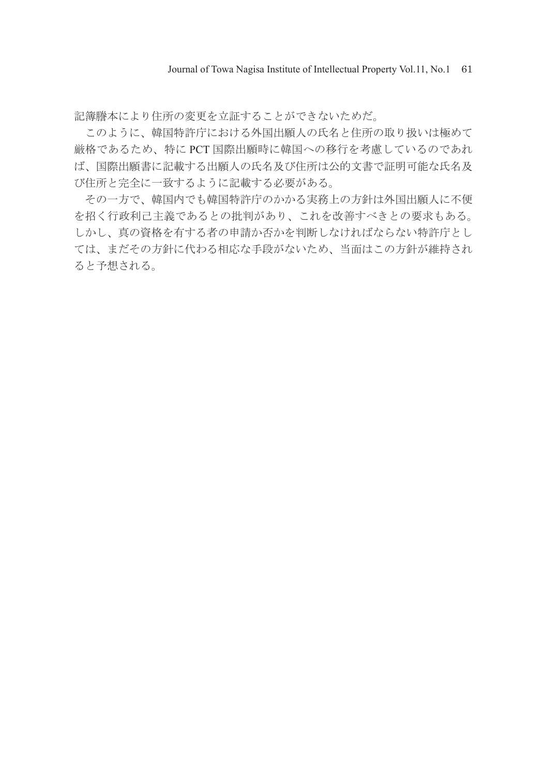記簿謄本により住所の変更を立証することができないためだ。

 このように、韓国特許庁における外国出願人の氏名と住所の取り扱いは極めて 厳格であるため、特に PCT 国際出願時に韓国への移行を考慮しているのであれ ば、国際出願書に記載する出願人の氏名及び住所は公的文書で証明可能な氏名及 び住所と完全に一致するように記載する必要がある。

 その一方で、韓国内でも韓国特許庁のかかる実務上の方針は外国出願人に不便 を招く行政利己主義であるとの批判があり、これを改善すべきとの要求もある。 しかし、真の資格を有する者の申請か否かを判断しなければならない特許庁とし ては、まだその方針に代わる相応な手段がないため、当面はこの方針が維持され ると予想される。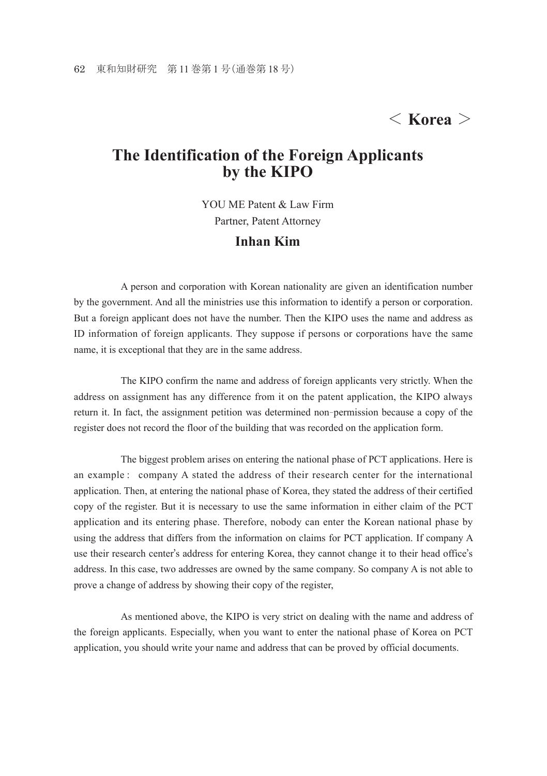## < **Korea** >

## **The Identification of the Foreign Applicants by the KIPO**

YOU ME Patent & Law Firm Partner, Patent Attorney **Inhan Kim**

 A person and corporation with Korean nationality are given an identification number by the government. And all the ministries use this information to identify a person or corporation. But a foreign applicant does not have the number. Then the KIPO uses the name and address as ID information of foreign applicants. They suppose if persons or corporations have the same name, it is exceptional that they are in the same address.

 The KIPO confirm the name and address of foreign applicants very strictly. When the address on assignment has any difference from it on the patent application, the KIPO always return it. In fact, the assignment petition was determined non-permission because a copy of the register does not record the floor of the building that was recorded on the application form.

 The biggest problem arises on entering the national phase of PCT applications. Here is an example : company A stated the address of their research center for the international application. Then, at entering the national phase of Korea, they stated the address of their certified copy of the register. But it is necessary to use the same information in either claim of the PCT application and its entering phase. Therefore, nobody can enter the Korean national phase by using the address that differs from the information on claims for PCT application. If company A use their research center's address for entering Korea, they cannot change it to their head office's address. In this case, two addresses are owned by the same company. So company A is not able to prove a change of address by showing their copy of the register,

 As mentioned above, the KIPO is very strict on dealing with the name and address of the foreign applicants. Especially, when you want to enter the national phase of Korea on PCT application, you should write your name and address that can be proved by official documents.